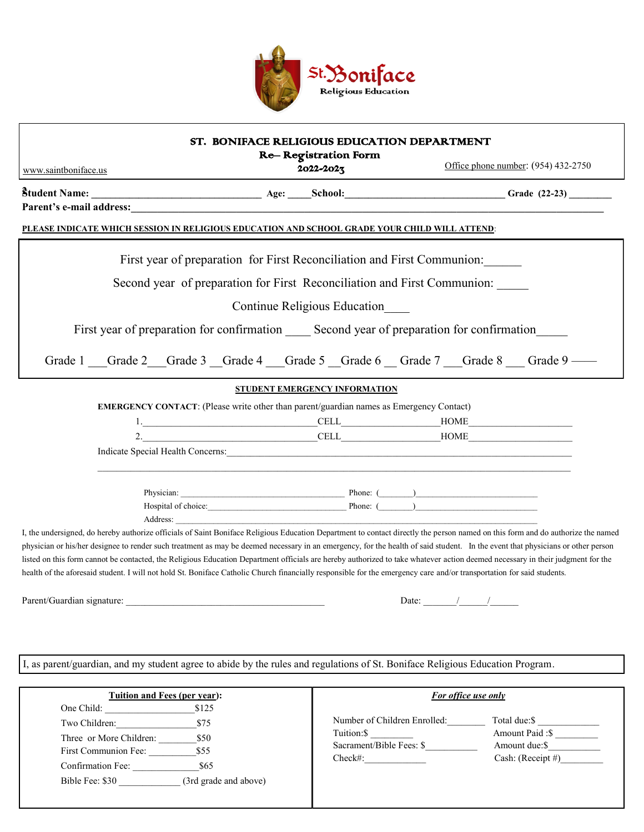

## ST. BONIFACE RELIGIOUS EDUCATION DEPARTMENT

Re– Registration Form

Office phone number: (954) 432-2750

**2Student Name: \_\_\_\_\_\_\_\_\_\_\_\_\_\_\_\_\_\_\_\_\_\_\_\_\_\_\_\_\_\_\_\_\_\_\_\_ Age: \_\_\_\_\_School:\_\_\_\_\_\_\_\_\_\_\_\_\_\_\_\_\_\_\_\_\_\_\_\_\_\_\_\_\_\_\_\_\_\_ Grade (22-23) \_\_\_\_\_\_\_\_\_** www.saintboniface.us

2022-2023

**Parent's e-mail address:** 

## **PLEASE INDICATE WHICH SESSION IN RELIGIOUS EDUCATION AND SCHOOL GRADE YOUR CHILD WILL ATTEND**:

First year of preparation for First Reconciliation and First Communion:

Second year of preparation for First Reconciliation and First Communion:

Continue Religious Education\_\_\_\_

First year of preparation for confirmation Second year of preparation for confirmation

Grade 1 \_\_\_Grade 2 \_\_Grade 3 \_\_Grade 4 \_\_\_Grade 5 \_\_Grade 6 \_\_Grade 7 \_\_\_Grade 8 \_\_\_Grade 9 ——

## **STUDENT EMERGENCY INFORMATION**

**EMERGENCY CONTACT**: (Please write other than parent/guardian names as Emergency Contact)

|           | ---<br>۰∟ | . |  |
|-----------|-----------|---|--|
| <b>__</b> | --<br>$-$ | . |  |

 $\mathcal{L}_\text{max}$ 

Indicate Special Health Concerns:

 Physician: \_\_\_\_\_\_\_\_\_\_\_\_\_\_\_\_\_\_\_\_\_\_\_\_\_\_\_\_\_\_\_\_\_\_\_\_\_\_\_ Phone: (\_\_\_\_\_\_\_\_)\_\_\_\_\_\_\_\_\_\_\_\_\_\_\_\_\_\_\_\_\_\_\_\_\_\_\_\_\_ Hospital of choice:\_\_\_\_\_\_\_\_\_\_\_\_\_\_\_\_\_\_\_\_\_\_\_\_\_\_\_\_\_\_\_\_\_ Phone: (\_\_\_\_\_\_\_\_)\_\_\_\_\_\_\_\_\_\_\_\_\_\_\_\_\_\_\_\_\_\_\_\_\_\_\_\_\_ Address:

I, the undersigned, do hereby authorize officials of Saint Boniface Religious Education Department to contact directly the person named on this form and do authorize the named physician or his/her designee to render such treatment as may be deemed necessary in an emergency, for the health of said student. In the event that physicians or other person listed on this form cannot be contacted, the Religious Education Department officials are hereby authorized to take whatever action deemed necessary in their judgment for the health of the aforesaid student. I will not hold St. Boniface Catholic Church financially responsible for the emergency care and/or transportation for said students.

Parent/Guardian signature:  $\Box$ 

| $\text{Date}$ : |  |  |
|-----------------|--|--|
|                 |  |  |

I, as parent/guardian, and my student agree to abide by the rules and regulations of St. Boniface Religious Education Program.

| Tuition and Fees (per year):                                                                                           |                                                                | For office use only                                                                   |                                                                        |
|------------------------------------------------------------------------------------------------------------------------|----------------------------------------------------------------|---------------------------------------------------------------------------------------|------------------------------------------------------------------------|
| One Child:<br>Two Children:<br>Three or More Children:<br>First Communion Fee:<br>Confirmation Fee:<br>Bible Fee: \$30 | \$125<br>\$75<br>\$50<br>\$55<br>\$65<br>(3rd grade and above) | Number of Children Enrolled:<br>Tuition: \$<br>Sacrament/Bible Fees: \$<br>$Check\#:$ | Total due:\$<br>Amount Paid: \$<br>Amount due: \$<br>Cash: (Receipt #) |